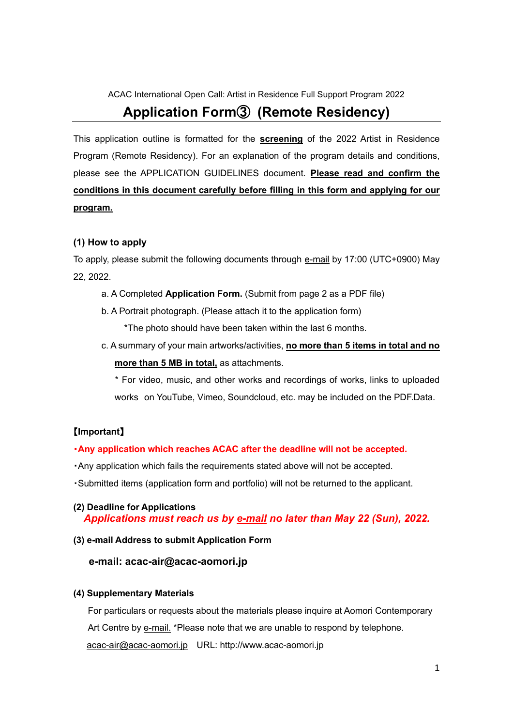ACAC International Open Call: Artist in Residence Full Support Program 2022

# **Application Form**③ **(Remote Residency)**

This application outline is formatted for the **screening** of the 2022 Artist in Residence Program (Remote Residency). For an explanation of the program details and conditions, please see the APPLICATION GUIDELINES document. **Please read and confirm the conditions in this document carefully before filling in this form and applying for our program.**

#### **(1) How to apply**

To apply, please submit the following documents through e-mail by 17:00 (UTC+0900) May 22, 2022.

- a. A Completed **Application Form.** (Submit from page 2 as a PDF file)
- b. A Portrait photograph. (Please attach it to the application form)

\*The photo should have been taken within the last 6 months.

c. A summary of your main artworks/activities, **no more than 5 items in total and no more than 5 MB in total,** as attachments.

 \* For video, music, and other works and recordings of works, links to uploaded works on YouTube, Vimeo, Soundcloud, etc. may be included on the PDF.Data.

#### 【**Important**】

#### ・**Any application which reaches ACAC after the deadline will not be accepted.**

- ・Any application which fails the requirements stated above will not be accepted.
- ・Submitted items (application form and portfolio) will not be returned to the applicant.

#### **(2) Deadline for Applications**  *Applications must reach us by e-mail no later than May 22 (Sun), 2022.*

#### **(3) e-mail Address to submit Application Form**

#### **e-mail: acac-air@acac-aomori.jp**

#### **(4) Supplementary Materials**

For particulars or requests about the materials please inquire at Aomori Contemporary Art Centre by e-mail. \*Please note that we are unable to respond by telephone. [acac-air@acac-aomori.jp](mailto:acac-air@acac-aomori.jp) URL: http://www.acac-aomori.jp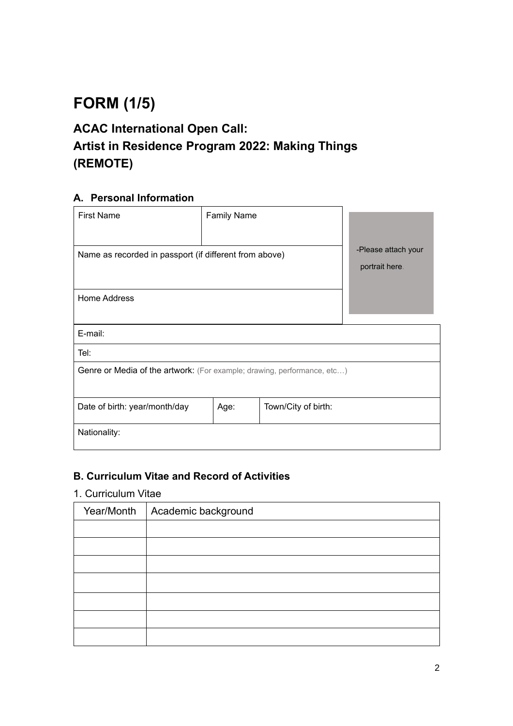# **FORM (1/5)**

# **ACAC International Open Call: Artist in Residence Program 2022: Making Things (REMOTE)**

### **A. Personal Information**

| <b>First Name</b>                                                       | <b>Family Name</b> |                     |                                       |  |
|-------------------------------------------------------------------------|--------------------|---------------------|---------------------------------------|--|
| Name as recorded in passport (if different from above)                  |                    |                     | -Please attach your<br>portrait here. |  |
| Home Address                                                            |                    |                     |                                       |  |
| E-mail:                                                                 |                    |                     |                                       |  |
| Tel:                                                                    |                    |                     |                                       |  |
| Genre or Media of the artwork: (For example; drawing, performance, etc) |                    |                     |                                       |  |
| Date of birth: year/month/day                                           | Age:               | Town/City of birth: |                                       |  |
| Nationality:                                                            |                    |                     |                                       |  |

### **B. Curriculum Vitae and Record of Activities**

### 1. Curriculum Vitae

| Year/Month | Academic background |
|------------|---------------------|
|            |                     |
|            |                     |
|            |                     |
|            |                     |
|            |                     |
|            |                     |
|            |                     |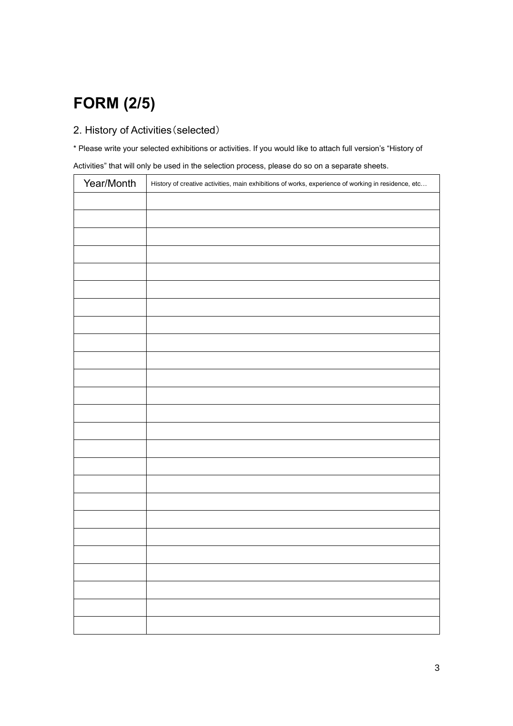# **FORM (2/5)**

### 2. History of Activities(selected)

\* Please write your selected exhibitions or activities. If you would like to attach full version's "History of Activities" that will only be used in the selection process, please do so on a separate sheets.

| Year/Month | History of creative activities, main exhibitions of works, experience of working in residence, etc |
|------------|----------------------------------------------------------------------------------------------------|
|            |                                                                                                    |
|            |                                                                                                    |
|            |                                                                                                    |
|            |                                                                                                    |
|            |                                                                                                    |
|            |                                                                                                    |
|            |                                                                                                    |
|            |                                                                                                    |
|            |                                                                                                    |
|            |                                                                                                    |
|            |                                                                                                    |
|            |                                                                                                    |
|            |                                                                                                    |
|            |                                                                                                    |
|            |                                                                                                    |
|            |                                                                                                    |
|            |                                                                                                    |
|            |                                                                                                    |
|            |                                                                                                    |
|            |                                                                                                    |
|            |                                                                                                    |
|            |                                                                                                    |
|            |                                                                                                    |
|            |                                                                                                    |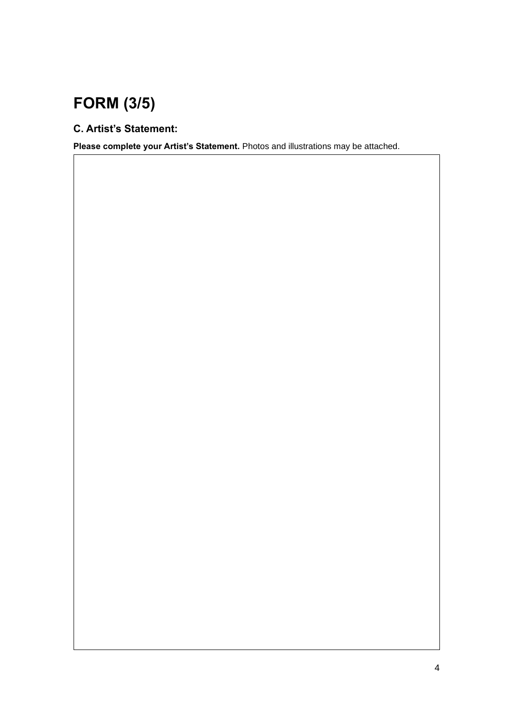# **FORM (3/5)**

## **C. Artist's Statement:**

**Please complete your Artist's Statement.** Photos and illustrations may be attached.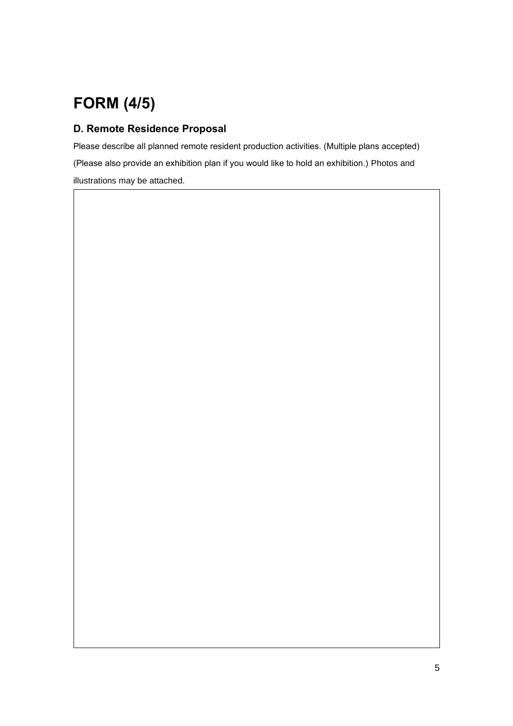# **FORM (4/5)**

### **D. Remote Residence Proposal**

Please describe all planned remote resident production activities. (Multiple plans accepted) (Please also provide an exhibition plan if you would like to hold an exhibition.) Photos and illustrations may be attached.